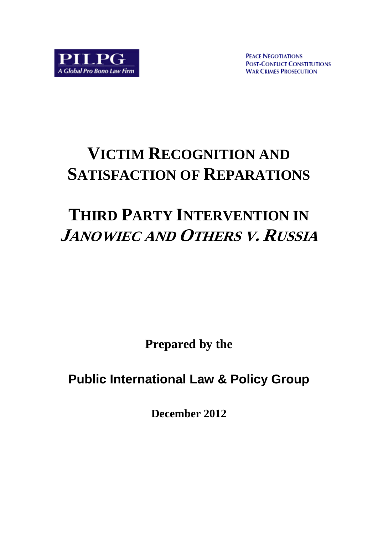**PEACE NEGOTIATIONS POST-CONFLICT CONSTITUTIONS WAR CRIMES PROSECUTION** 

# **VICTIM RECOGNITION AND SATISFACTION OF REPARATIONS**

# **THIRD PARTY INTERVENTION IN JANOWIEC AND OTHERS V. RUSSIA**

**Prepared by the** 

**Public International Law & Policy Group**

**December 2012**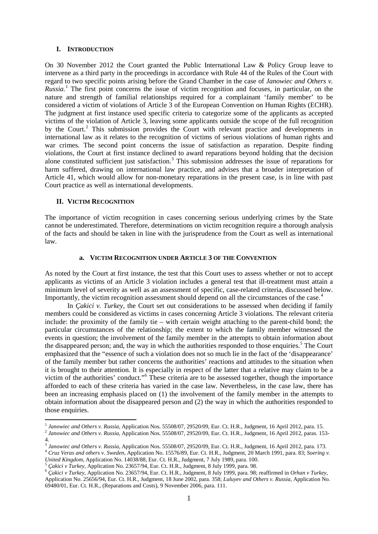#### **I. INTRODUCTION**

On 30 November 2012 the Court granted the Public International Law & Policy Group leave to intervene as a third party in the proceedings in accordance with Rule 44 of the Rules of the Court with regard to two specific points arising before the Grand Chamber in the case of *Janowiec and Others v. Russia.*[1](#page-1-0) The first point concerns the issue of victim recognition and focuses, in particular, on the nature and strength of familial relationships required for a complainant 'family member' to be considered a victim of violations of Article 3 of the European Convention on Human Rights (ECHR). The judgment at first instance used specific criteria to categorize some of the applicants as accepted victims of the violation of Article 3, leaving some applicants outside the scope of the full recognition by the Court.<sup>[2](#page-1-1)</sup> This submission provides the Court with relevant practice and developments in international law as it relates to the recognition of victims of serious violations of human rights and war crimes. The second point concerns the issue of satisfaction as reparation. Despite finding violations, the Court at first instance declined to award reparations beyond holding that the decision alone constituted sufficient just satisfaction.<sup>[3](#page-1-2)</sup> This submission addresses the issue of reparations for harm suffered, drawing on international law practice, and advises that a broader interpretation of Article 41, which would allow for non-monetary reparations in the present case, is in line with past Court practice as well as international developments.

#### **II. VICTIM RECOGNITION**

The importance of victim recognition in cases concerning serious underlying crimes by the State cannot be underestimated. Therefore, determinations on victim recognition require a thorough analysis of the facts and should be taken in line with the jurisprudence from the Court as well as international law.

#### **a. VICTIM RECOGNITION UNDER ARTICLE 3 OF THE CONVENTION**

As noted by the Court at first instance, the test that this Court uses to assess whether or not to accept applicants as victims of an Article 3 violation includes a general test that ill-treatment must attain a minimum level of severity as well as an assessment of specific, case-related criteria, discussed below. Importantly, the victim recognition assessment should depend on all the circumstances of the case.<sup>[4](#page-1-3)</sup>

In *Çakici v. Turkey*, the Court set out considerations to be assessed when deciding if family members could be considered as victims in cases concerning Article 3 violations. The relevant criteria include: the proximity of the family tie – with certain weight attaching to the parent-child bond; the particular circumstances of the relationship; the extent to which the family member witnessed the events in question; the involvement of the family member in the attempts to obtain information about the disappeared person; and, the way in which the authorities responded to those enquiries.<sup>[5](#page-1-4)</sup> The Court emphasized that the "essence of such a violation does not so much lie in the fact of the 'disappearance' of the family member but rather concerns the authorities' reactions and attitudes to the situation when it is brought to their attention. It is especially in respect of the latter that a relative may claim to be a victim of the authorities' conduct."[6](#page-1-5) These criteria are to be assessed together, though the importance afforded to each of these criteria has varied in the case law. Nevertheless, in the case law, there has been an increasing emphasis placed on (1) the involvement of the family member in the attempts to obtain information about the disappeared person and (2) the way in which the authorities responded to those enquiries.

<sup>&</sup>lt;sup>1</sup> Janowiec and Others v. Russia, Application Nos. 55508/07, 29520/09, Eur. Ct. H.R., Judgment, 16 April 2012, para. 15.<br><sup>2</sup> Janowiec and Others v. Russia, Application Nos. 55508/07, 29520/09, Eur. Ct. H.R., Judgment, 16

<span id="page-1-3"></span><span id="page-1-2"></span><span id="page-1-1"></span><span id="page-1-0"></span><sup>4.</sup>

<sup>&</sup>lt;sup>3</sup> Janowiec and Others v. Russia, Application Nos. 55508/07, 29520/09, Eur. Ct. H.R., Judgment, 16 April 2012, para. 173.<br><sup>4</sup> Cruz Veras and others v. Sweden, Application No. 15576/89, Eur. Ct. H.R., Judgment, 20 March 19 United Kingdom, Application No. 14038/88, Eur. Ct. H.R., Judgment, 7 July 1989, para. 100.<br><sup>5</sup> Çakici v Turkey, Application No. 23657/94, Eur. Ct. H.R., Judgment, 8 July 1999, para. 98.<br><sup>6</sup> Çakici v Turkey, Application No.

<span id="page-1-5"></span><span id="page-1-4"></span>Application No. 25656/94, Eur. Ct. H.R., Judgment, 18 June 2002, para. 358; *Luluyev and Others v. Russia,* Application No. 69480/01, Eur. Ct. H.R., (Reparations and Costs), 9 November 2006, para. 111.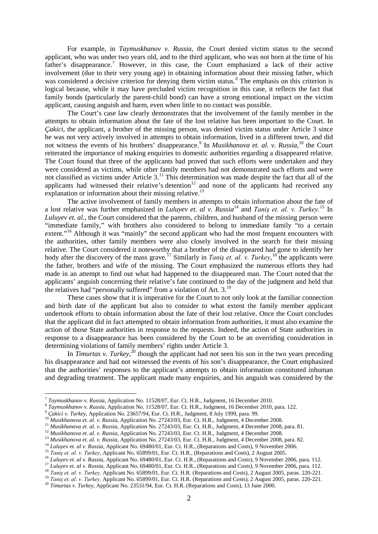For example, in *Taymuskhanov v. Russia*, the Court denied victim status to the second applicant, who was under two years old, and to the third applicant, who was not born at the time of his father's disappearance.<sup>[7](#page-2-0)</sup> However, in this case, the Court emphasized a lack of their active involvement (due to their very young age) in obtaining information about their missing father, which was considered a decisive criterion for denying them victim status.<sup>[8](#page-2-1)</sup> The emphasis on this criterion is logical because, while it may have precluded victim recognition in this case, it reflects the fact that family bonds (particularly the parent-child bond) can have a strong emotional impact on the victim applicant, causing anguish and harm, even when little to no contact was possible.

The Court's case law clearly demonstrates that the involvement of the family member in the attempts to obtain information about the fate of the lost relative has been important to the Court. In *Cakici*, the applicant, a brother of the missing person, was denied victim status under Article 3 since he was not very actively involved in attempts to obtain information, lived in a different town, and did not witness the events of his brothers' disappearance.<sup>[9](#page-2-2)</sup> In *Musikhanova et. al. v. Russia*, <sup>[10](#page-2-3)</sup> the Court reiterated the importance of making enquiries to domestic authorities regarding a disappeared relative. The Court found that three of the applicants had proved that such efforts were undertaken and they were considered as victims, while other family members had not demonstrated such efforts and were not classified as victims under Article 3.<sup>[11](#page-2-4)</sup> This determination was made despite the fact that all of the applicants had witnessed their relative's detention<sup>[12](#page-2-5)</sup> and none of the applicants had received any explanation or information about their missing relative.<sup>[13](#page-2-6)</sup>

The active involvement of family members in attempts to obtain information about the fate of a lost relative was further emphasized in *Luluyev et. al v. Russia*[14](#page-2-7) and *Taniş et. al. v. Turkey.*[15](#page-2-8) In *Luluyev et. al.*, the Court considered that the parents, children, and husband of the missing person were "immediate family," with brothers also considered to belong to immediate family "to a certain extent."<sup>[16](#page-2-9)</sup> Although it was "mainly" the second applicant who had the most frequent encounters with the authorities, other family members were also closely involved in the search for their missing relative. The Court considered it noteworthy that a brother of the disappeared had gone to identify her body after the discovery of the mass grave.[17](#page-2-10) Similarly in *Taniş et. al. v. Turkey*, [18](#page-2-11) the applicants were the father, brothers and wife of the missing. The Court emphasized the numerous efforts they had made in an attempt to find out what had happened to the disappeared man. The Court noted that the applicants' anguish concerning their relative's fate continued to the day of the judgment and held that the relatives had "personally suffered" from a violation of Art. 3.<sup>[19](#page-2-12)</sup>

These cases show that it is imperative for the Court to not only look at the familiar connection and birth date of the applicant but also to consider to what extent the family member applicant undertook efforts to obtain information about the fate of their lost relative. Once the Court concludes that the applicant did in fact attempted to obtain information from authorities, it must also examine the action of those State authorities in response to the requests. Indeed, the action of State authorities in response to a disappearance has been considered by the Court to be an overriding consideration in determining violations of family members' rights under Article 3.

In *Timurtas v. Turkey*<sup>[20](#page-2-13)</sup> though the applicant had not seen his son in the two years preceding his disappearance and had not witnessed the events of his son's disappearance, the Court emphasized that the authorities' responses to the applicant's attempts to obtain information constituted inhuman and degrading treatment. The applicant made many enquiries, and his anguish was considered by the

<span id="page-2-1"></span><span id="page-2-0"></span>

<span id="page-2-2"></span>

<span id="page-2-3"></span>

<span id="page-2-4"></span>

<span id="page-2-5"></span>

<span id="page-2-8"></span><span id="page-2-7"></span><span id="page-2-6"></span>

<span id="page-2-10"></span><span id="page-2-9"></span>

<sup>&</sup>lt;sup>7</sup> Taymuskhanov v. Russia, Application No. 11528/07, Eur. Ct. H.R., Judgment, 16 December 2010.<br>
<sup>8</sup> Taymuskhanov v. Russia, Application No. 11528/07, Eur. Ct. H.R., Judgment, 16 December 2010, para. 122.<br>
<sup>9</sup> Cakici v.

<span id="page-2-12"></span><span id="page-2-11"></span>

<span id="page-2-13"></span>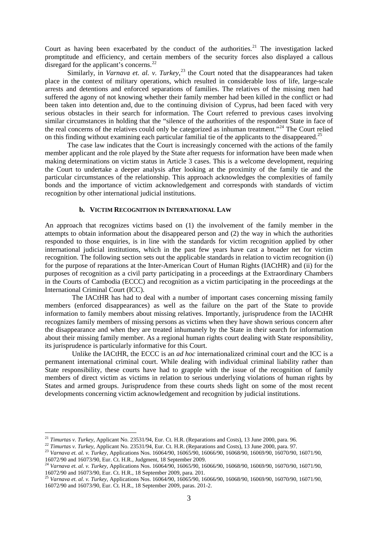Court as having been exacerbated by the conduct of the authorities. $21$  The investigation lacked promptitude and efficiency, and certain members of the security forces also displayed a callous disregard for the applicant's concerns.<sup>[22](#page-3-1)</sup>

Similarly, in *Varnava et. al. v. Turkey*,<sup>[23](#page-3-2)</sup> the Court noted that the disappearances had taken place in the context of military operations, which resulted in considerable loss of life, large-scale arrests and detentions and enforced separations of families. The relatives of the missing men had suffered the agony of not knowing whether their family member had been killed in the conflict or had been taken into detention and, due to the continuing division of Cyprus, had been faced with very serious obstacles in their search for information. The Court referred to previous cases involving similar circumstances in holding that the "silence of the authorities of the respondent State in face of the real concerns of the relatives could only be categorized as inhuman treatment."[24](#page-3-3) The Court relied on this finding without examining each particular familial tie of the applicants to the disappeared.<sup>[25](#page-3-4)</sup>

The case law indicates that the Court is increasingly concerned with the actions of the family member applicant and the role played by the State after requests for information have been made when making determinations on victim status in Article 3 cases. This is a welcome development, requiring the Court to undertake a deeper analysis after looking at the proximity of the family tie and the particular circumstances of the relationship. This approach acknowledges the complexities of family bonds and the importance of victim acknowledgement and corresponds with standards of victim recognition by other international judicial institutions.

#### **b. VICTIM RECOGNITION IN INTERNATIONAL LAW**

An approach that recognizes victims based on (1) the involvement of the family member in the attempts to obtain information about the disappeared person and (2) the way in which the authorities responded to those enquiries, is in line with the standards for victim recognition applied by other international judicial institutions, which in the past few years have cast a broader net for victim recognition. The following section sets out the applicable standards in relation to victim recognition (i) for the purpose of reparations at the Inter-American Court of Human Rights (IACtHR) and (ii) for the purposes of recognition as a civil party participating in a proceedings at the Extraordinary Chambers in the Courts of Cambodia (ECCC) and recognition as a victim participating in the proceedings at the International Criminal Court (ICC).

The IACtHR has had to deal with a number of important cases concerning missing family members (enforced disappearances) as well as the failure on the part of the State to provide information to family members about missing relatives. Importantly, jurisprudence from the IACtHR recognizes family members of missing persons as victims when they have shown serious concern after the disappearance and when they are treated inhumanely by the State in their search for information about their missing family member. As a regional human rights court dealing with State responsibility, its jurisprudence is particularly informative for this Court.

Unlike the IACtHR, the ECCC is an *ad hoc* internationalized criminal court and the ICC is a permanent international criminal court. While dealing with individual criminal liability rather than State responsibility, these courts have had to grapple with the issue of the recognition of family members of direct victim as victims in relation to serious underlying violations of human rights by States and armed groups. Jurisprudence from these courts sheds light on some of the most recent developments concerning victim acknowledgement and recognition by judicial institutions.

<span id="page-3-2"></span><span id="page-3-1"></span>

<span id="page-3-0"></span><sup>&</sup>lt;sup>21</sup> Timurtas v. Turkey, Applicant No. 23531/94, Eur. Ct. H.R. (Reparations and Costs), 13 June 2000, para. 96.<br><sup>22</sup> Timurtas v. Turkey, Applicant No. 23531/94, Eur. Ct. H.R. (Reparations and Costs), 13 June 2000, para. 9

<span id="page-3-3"></span><sup>&</sup>lt;sup>24</sup> *Varnava et. al. v. Turkey, Applications Nos.* 16064/90, 16065/90, 16066/90, 16068/90, 16069/90, 16070/90, 16071/90, 16072/90 and 16073/90, Eur. Ct. H.R., 18 September 2009, para. 201. <sup>25</sup> *Varnava et. al. v. Turkey,* Applications Nos. 16064/90, 16065/90, 16066/90, 16068/90, 16069/90, 16070/90, 16071/90,

<span id="page-3-4"></span><sup>16072/90</sup> and 16073/90, Eur. Ct. H.R., 18 September 2009, paras. 201-2.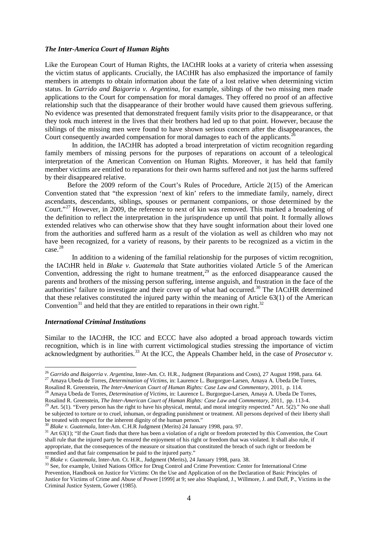### *The Inter-America Court of Human Rights*

Like the European Court of Human Rights, the IACtHR looks at a variety of criteria when assessing the victim status of applicants. Crucially, the IACtHR has also emphasized the importance of family members in attempts to obtain information about the fate of a lost relative when determining victim status. In *Garrido and Baigorria v. Argentina*, for example, siblings of the two missing men made applications to the Court for compensation for moral damages. They offered no proof of an affective relationship such that the disappearance of their brother would have caused them grievous suffering. No evidence was presented that demonstrated frequent family visits prior to the disappearance, or that they took much interest in the lives that their brothers had led up to that point. However, because the siblings of the missing men were found to have shown serious concern after the disappearances, the Court consequently awarded compensation for moral damages to each of the applicants.<sup>[26](#page-4-0)</sup>

In addition, the IACtHR has adopted a broad interpretation of victim recognition regarding family members of missing persons for the purposes of reparations on account of a teleological interpretation of the American Convention on Human Rights. Moreover, it has held that family member victims are entitled to reparations for their own harms suffered and not just the harms suffered by their disappeared relative.

Before the 2009 reform of the Court's Rules of Procedure, Article 2(15) of the American Convention stated that "the expression 'next of kin' refers to the immediate family, namely, direct ascendants, descendants, siblings, spouses or permanent companions, or those determined by the Court."<sup>[27](#page-4-1)</sup> However, in 2009, the reference to next of kin was removed. This marked a broadening of the definition to reflect the interpretation in the jurisprudence up until that point. It formally allows extended relatives who can otherwise show that they have sought information about their loved one from the authorities and suffered harm as a result of the violation as well as children who may not have been recognized, for a variety of reasons, by their parents to be recognized as a victim in the case. [28](#page-4-2)

In addition to a widening of the familial relationship for the purposes of victim recognition, the IACtHR held in *Blake v. Guatemala* that State authorities violated Article 5 of the American Convention, addressing the right to humane treatment,<sup>[29](#page-4-3)</sup> as the enforced disappearance caused the parents and brothers of the missing person suffering, intense anguish, and frustration in the face of the authorities' failure to investigate and their cover up of what had occurred.<sup>[30](#page-4-4)</sup> The IACtHR determined that these relatives constituted the injured party within the meaning of Article 63(1) of the American Convention<sup>[31](#page-4-5)</sup> and held that they are entitled to reparations in their own right.<sup>[32](#page-4-6)</sup>

# *International Criminal Institutions*

Similar to the IACtHR, the ICC and ECCC have also adopted a broad approach towards victim recognition, which is in line with current victimological studies stressing the importance of victim acknowledgment by authorities. [33](#page-4-7) At the ICC, the Appeals Chamber held, in the case of *Prosecutor v.*

<span id="page-4-0"></span><sup>&</sup>lt;sup>26</sup> Garrido and Baigorria v. Argentina, Inter-Am. Ct. H.R., Judgment (Reparations and Costs), 27 August 1998, para. 64.<br><sup>27</sup> Amaya Ubeda de Torres, *Determination of Victims*, in: Laurence L. Burgorgue-Larsen, Amaya A. U

<span id="page-4-2"></span><span id="page-4-1"></span>Rosalind R. Greenstein, *The Inter-American Court of Human Rights: Case Law and Commentary*, 2011, p. 114.<br><sup>28</sup> Amaya Ubeda de Torres, *Determination of Victims*, in: Laurence L. Burgorgue-Larsen, Amaya A. Ubeda De Torres,

<span id="page-4-3"></span><sup>&</sup>lt;sup>29</sup> Art. 5(1). "Every person has the right to have his physical, mental, and moral integrity respected." Art. 5(2)." No one shall be subjected to torture or to cruel, inhuman, or degrading punishment or treatment. All persons deprived of their liberty shall be treated with respect for the inherent dignity of the human person."<br><sup>30</sup> Blake v. Guatemala, Inter-Am. C.H.R Judgment (Merits) 24 January 1998, para. 97.

<span id="page-4-5"></span><span id="page-4-4"></span><sup>&</sup>lt;sup>31</sup> Art 63(1); "If the Court finds that there has been a violation of a right or freedom protected by this Convention, the Court shall rule that the injured party be ensured the enjoyment of his right or freedom that was violated. It shall also rule, if appropriate, that the consequences of the measure or situation that constituted the breach of such right or freedom be references, and the compensation be paid to the injured party."<br>
<sup>32</sup> Blake v. Guatemala, Inter-Am. Ct. H.R., Judgment (Merits), 24 January 1998, para. 38.

<span id="page-4-7"></span><span id="page-4-6"></span><sup>&</sup>lt;sup>33</sup> See, for example, United Nations Office for Drug Control and Crime Prevention: Center for International Crime Prevention, Handbook on Justice for Victims: On the Use and Application of on the Declaration of Basic Principles of Justice for Victims of Crime and Abuse of Power [1999] at 9; see also Shapland, J., Willmore, J. and Duff, P., Victims in the Criminal Justice System, Gower (1985).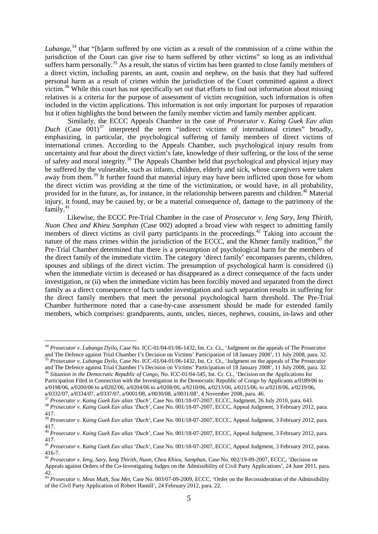*Lubanga*, [34](#page-5-0) that "[h]arm suffered by one victim as a result of the commission of a crime within the jurisdiction of the Court can give rise to harm suffered by other victims" so long as an individual suffers harm personally.<sup>[35](#page-5-1)</sup> As a result, the status of victim has been granted to close family members of a direct victim, including parents, an aunt, cousin and nephew, on the basis that they had suffered personal harm as a result of crimes within the jurisdiction of the Court committed against a direct victim.<sup>[36](#page-5-2)</sup> While this court has not specifically set out that efforts to find out information about missing relatives is a criteria for the purpose of assessment of victim recognition, such information is often included in the victim applications. This information is not only important for purposes of reparation but it often highlights the bond between the family member victim and family member applicant.

Similarly, the ECCC Appeals Chamber in the case of *Prosecutor v. Kaing Guek Eav alias Duch* (Case 001) [37](#page-5-3) interpreted the term "indirect victims of international crimes" broadly, emphasizing, in particular, the psychological suffering of family members of direct victims of international crimes. According to the Appeals Chamber, such psychological injury results from uncertainty and fear about the direct victim's fate, knowledge of their suffering, or the loss of the sense of safety and moral integrity.[38](#page-5-4) The Appeals Chamber held that psychological and physical injury may be suffered by the vulnerable, such as infants, children, elderly and sick, whose caregivers were taken away from them.<sup>[39](#page-5-5)</sup> It further found that material injury may have been inflicted upon those for whom the direct victim was providing at the time of the victimization, or would have, in all probability, provided for in the future, as, for instance, in the relationship between parents and children.<sup>[40](#page-5-6)</sup> Material injury, it found, may be caused by, or be a material consequence of, damage to the patrimony of the family.<sup>[41](#page-5-7)</sup>

Likewise, the ECCC Pre-Trial Chamber in the case of *Prosecutor v. Ieng Sary, Ieng Thirith, Nuon Chea and Khieu Samphan* (Case 002) adopted a broad view with respect to admitting family members of direct victims as civil party participants in the proceedings.<sup>[42](#page-5-8)</sup> Taking into account the nature of the mass crimes within the jurisdiction of the ECCC, and the Khmer family tradition,<sup>[43](#page-5-9)</sup> the Pre-Trial Chamber determined that there is a presumption of psychological harm for the members of the direct family of the immediate victim. The category 'direct family' encompasses parents, children, spouses and siblings of the direct victim. The presumption of psychological harm is considered (i) when the immediate victim is deceased or has disappeared as a direct consequence of the facts under investigation, or (ii) when the immediate victim has been forcibly moved and separated from the direct family as a direct consequence of facts under investigation and such separation results in suffering for the direct family members that meet the personal psychological harm threshold. The Pre-Trial Chamber furthermore noted that a case-by-case assessment should be made for extended family members, which comprises: grandparents, aunts, uncles, nieces, nephews, cousins, in-laws and other

<span id="page-5-0"></span><sup>&</sup>lt;sup>34</sup> *Prosecutor v. Lubanga Dyilo*, Case No. ICC-01/04-01/06-1432, Int. Cr. Ct., 'Judgment on the appeals of The Prosecutor and The Defence against Trial Chamber I's Decision on Victims' Participation of 18 January 2008'.

<span id="page-5-1"></span><sup>&</sup>lt;sup>35</sup> Prosecutor v. Lubanga Dyilo, Case No. ICC-01/04-01/06-1432, Int. Cr. Ct., 'Judgment on the appeals of The Prosecutor and The Defence against Trial Chamber I's Decision on Victims' Participation of 18 January 2008', 11

<span id="page-5-2"></span><sup>&</sup>lt;sup>36</sup> Situation in the Democratic Republic of Congo, No. ICC-01/04-545, Int. Cr. Ct., 'Decision on the Applications for Participation Filed in Connection with the Investigation in the Democratic Republic of Congo by Applicants a/0189/06 to  $a/0198/06$ ,  $a/0200/06$  to  $a/0202/06$ ,  $a/0204/06$  to  $a/0208/06$ ,  $a/0210/06$ ,  $a/0213/06$ ,  $a/0215/06$ , to  $a/0218/06$ ,  $a/0219/06$ ,  $a/0332/07$ .  $a/0334/07$ .  $a/0337/07$ .  $a/0001/08$ ,  $a/0030/08$ ,  $a/0031/08$ ,  $a/003$ 

<span id="page-5-4"></span><span id="page-5-3"></span><sup>&</sup>lt;sup>37</sup> Prosecutor v. Kaing Guek Eav alias 'Duch', Case No. 001/18-07-2007, ECCC, Judgment, 26 July 2010, para. 643.<br><sup>38</sup> Prosecutor v. Kaing Guek Eav alias 'Duch', Case No. 001/18-07-2007, ECCC, Appeal Judgment, 3 February 2

<sup>417.</sup>

<span id="page-5-5"></span><sup>39</sup> *Prosecutor v. Kaing Guek Eav alias 'Duch'*, Case No. 001/18-07-2007, ECCC, Appeal Judgment, 3 February 2012, para. 417.

<span id="page-5-6"></span><sup>40</sup> *Prosecutor v. Kaing Guek Eav alias 'Duch'*, Case No. 001/18-07-2007, ECCC, Appeal Judgment, 3 February 2012, para. 417.

<span id="page-5-7"></span><sup>41</sup> *Prosecutor v. Kaing Guek Eav alias 'Duch'*, Case No. 001/18-07-2007, ECCC, Appeal Judgment, 3 February 2012, paras. 416-7. <sup>42</sup> *Prosecutor v. Ieng, Sary, Ieng Thirith, Nuon, Chea Khieu, Samphan*, Case No. 002/19-09-2007, ECCC, 'Decision on

<span id="page-5-8"></span>

Appeals against Orders of the Co-Investigating Judges on the Admissibility of Civil Party Applications', 24 June 2011, para. 42.

<span id="page-5-9"></span><sup>43</sup> *Prosecutor v. Meas Muth, Sou Met*, Case No. 003/07-09-2009, ECCC, 'Order on the Reconsideration of the Admissibility of the Civil Party Application of Robert Hamill', 24 February 2012, para. 22.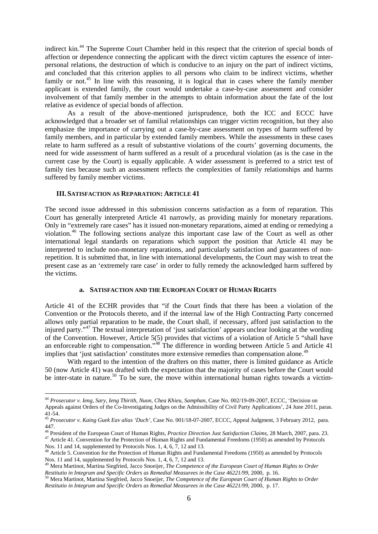indirect kin.<sup>[44](#page-6-0)</sup> The Supreme Court Chamber held in this respect that the criterion of special bonds of affection or dependence connecting the applicant with the direct victim captures the essence of interpersonal relations, the destruction of which is conducive to an injury on the part of indirect victims, and concluded that this criterion applies to all persons who claim to be indirect victims, whether family or not.<sup>[45](#page-6-1)</sup> In line with this reasoning, it is logical that in cases where the family member applicant is extended family, the court would undertake a case-by-case assessment and consider involvement of that family member in the attempts to obtain information about the fate of the lost relative as evidence of special bonds of affection.

As a result of the above-mentioned jurisprudence, both the ICC and ECCC have acknowledged that a broader set of familial relationships can trigger victim recognition, but they also emphasize the importance of carrying out a case-by-case assessment on types of harm suffered by family members, and in particular by extended family members. While the assessments in these cases relate to harm suffered as a result of substantive violations of the courts' governing documents, the need for wide assessment of harm suffered as a result of a procedural violation (as is the case in the current case by the Court) is equally applicable. A wider assessment is preferred to a strict test of family ties because such an assessment reflects the complexities of family relationships and harms suffered by family member victims.

#### **III. SATISFACTION AS REPARATION: ARTICLE 41**

The second issue addressed in this submission concerns satisfaction as a form of reparation. This Court has generally interpreted Article 41 narrowly, as providing mainly for monetary reparations. Only in "extremely rare cases" has it issued non-monetary reparations, aimed at ending or remedying a violation.[46](#page-6-2) The following sections analyze this important case law of the Court as well as other international legal standards on reparations which support the position that Article 41 may be interpreted to include non-monetary reparations, and particularly satisfaction and guarantees of nonrepetition. It is submitted that, in line with international developments, the Court may wish to treat the present case as an 'extremely rare case' in order to fully remedy the acknowledged harm suffered by the victims.

### **a. SATISFACTION AND THE EUROPEAN COURT OF HUMAN RIGHTS**

Article 41 of the ECHR provides that "if the Court finds that there has been a violation of the Convention or the Protocols thereto, and if the internal law of the High Contracting Party concerned allows only partial reparation to be made, the Court shall, if necessary, afford just satisfaction to the injured party."[47](#page-6-3) The textual interpretation of 'just satisfaction' appears unclear looking at the wording of the Convention. However, Article 5(5) provides that victims of a violation of Article 5 "shall have an enforceable right to compensation."<sup>[48](#page-6-4)</sup> The difference in wording between Article 5 and Article 41 implies that 'just satisfaction' constitutes more extensive remedies than compensation alone.<sup>[49](#page-6-5)</sup>

With regard to the intention of the drafters on this matter, there is limited guidance as Article 50 (now Article 41) was drafted with the expectation that the majority of cases before the Court would be inter-state in nature.<sup>[50](#page-6-6)</sup> To be sure, the move within international human rights towards a victim-

<span id="page-6-0"></span> <sup>44</sup> *Prosecutor v. Ieng, Sary, Ieng Thirith, Nuon, Chea Khieu, Samphan*, Case No. 002/19-09-2007, ECCC, 'Decision on Appeals against Orders of the Co-Investigating Judges on the Admissibility of Civil Party Applications', 24 June 2011, paras. 41-54. <sup>45</sup> *Prosecutor v. Kaing Guek Eav alias 'Duch'*, Case No. 001/18-07-2007, ECCC, Appeal Judgment, 3 February 2012, para.

<span id="page-6-1"></span><sup>447.&</sup>lt;br><sup>46</sup> President of the European Court of Human Rights, *Practice Direction Just Satisfaction Claims*, 28 March, 2007, para. 23.

<span id="page-6-3"></span><span id="page-6-2"></span><sup>&</sup>lt;sup>47</sup> Article 41. Convention for the Protection of Human Rights and Fundamental Freedoms (1950) as amended by Protocols Nos. 11 and 14, supplemented by Protocols Nos. 1, 4, 6, 7, 12 and 13.

<span id="page-6-4"></span><sup>&</sup>lt;sup>48</sup> Article 5. Convention for the Protection of Human Rights and Fundamental Freedoms (1950) as amended by Protocols Nos. 1, 4, 6, 7, 12 and 13.

<span id="page-6-5"></span><sup>&</sup>lt;sup>49</sup> Mera Martinot, Martina Siegfried, Jacco Snoeijer, *The Competence of the European Court of Human Rights to Order* Restitution in Integrum and Specific Orders as Remedial Measurees in the Case 46221/99, 2000, p. 16.<br><sup>50</sup> Mera Martinot, Martina Siegfried, Jacco Snoeijer, *The Competence of the European Court of Human Rights to Order* 

<span id="page-6-6"></span>*Restitutio in Integrum and Specific Orders as Remedial Measurees in the Case 46221/99,* 2000, p. 17.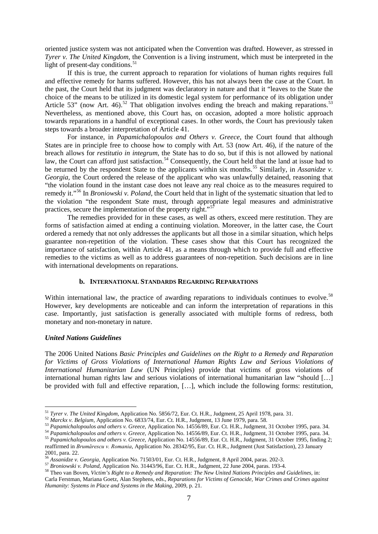oriented justice system was not anticipated when the Convention was drafted. However, as stressed in *Tyrer v. The United Kingdom*, the Convention is a living instrument, which must be interpreted in the light of present-day conditions.<sup>[51](#page-7-0)</sup>

If this is true, the current approach to reparation for violations of human rights requires full and effective remedy for harms suffered. However, this has not always been the case at the Court. In the past, the Court held that its judgment was declaratory in nature and that it "leaves to the State the choice of the means to be utilized in its domestic legal system for performance of its obligation under Article 53" (now Art. 46).<sup>[52](#page-7-1)</sup> That obligation involves ending the breach and making reparations.<sup>[53](#page-7-2)</sup> Nevertheless, as mentioned above, this Court has, on occasion, adopted a more holistic approach towards reparations in a handful of exceptional cases. In other words, the Court has previously taken steps towards a broader interpretation of Article 41.

For instance, in *Papamichalopoulos and Others v. Greece*, the Court found that although States are in principle free to choose how to comply with Art. 53 (now Art. 46), if the nature of the breach allows for *restitutio in integrum*, the State has to do so, but if this is not allowed by national law, the Court can afford just satisfaction.<sup>[54](#page-7-3)</sup> Consequently, the Court held that the land at issue had to be returned by the respondent State to the applicants within six months.<sup>[55](#page-7-4)</sup> Similarly, in *Assanidze v*. *Georgia,* the Court ordered the release of the applicant who was unlawfully detained, reasoning that "the violation found in the instant case does not leave any real choice as to the measures required to remedy it."[56](#page-7-5) In *Broniowski v. Poland*, the Court held that in light of the systematic situation that led to the violation "the respondent State must, through appropriate legal measures and administrative practices, secure the implementation of the property right."[57](#page-7-6)

The remedies provided for in these cases, as well as others, exceed mere restitution. They are forms of satisfaction aimed at ending a continuing violation. Moreover, in the latter case, the Court ordered a remedy that not only addresses the applicants but all those in a similar situation, which helps guarantee non-repetition of the violation. These cases show that this Court has recognized the importance of satisfaction, within Article 41, as a means through which to provide full and effective remedies to the victims as well as to address guarantees of non-repetition. Such decisions are in line with international developments on reparations.

## **b. INTERNATIONAL STANDARDS REGARDING REPARATIONS**

Within international law, the practice of awarding reparations to individuals continues to evolve.<sup>[58](#page-7-7)</sup> However, key developments are noticeable and can inform the interpretation of reparations in this case. Importantly, just satisfaction is generally associated with multiple forms of redress, both monetary and non-monetary in nature.

### *United Nations Guidelines*

The 2006 United Nations *Basic Principles and Guidelines on the Right to a Remedy and Reparation*  for Victims of Gross Violations of International Human Rights Law and Serious Violations of *International Humanitarian Law* (UN Principles) provide that victims of gross violations of international human rights law and serious violations of international humanitarian law "should […] be provided with full and effective reparation, […], which include the following forms: restitution,

<span id="page-7-2"></span><span id="page-7-1"></span>

<span id="page-7-0"></span><sup>&</sup>lt;sup>51</sup> Tyrer v. The United Kingdom, Application No. 5856/72, Eur. Ct. H.R., Judgment, 25 April 1978, para. 31.<br><sup>52</sup> Marckx v. Belgium, Application No. 6833/74, Eur. Ct. H.R., Judgment, 13 June 1979, para. 58.<br><sup>53</sup> Papamicha

<span id="page-7-3"></span>

<span id="page-7-4"></span>reaffirmed in *Brumărescu v. Romania*, Application No. 28342/95, Eur. Ct. H.R., Judgment (Just Satisfaction), 23 January 2001, para. 22.<br>
<sup>56</sup> Assanidze v. Georgia, Application No. 71503/01, Eur. Ct. H.R., Judgment, 8 April 2004, paras. 202-3.<br>
<sup>57</sup> Broniowski v. Poland, Application No. 31443/96, Eur. Ct. H.R., Judgment, 22 June 2004, paras.

<span id="page-7-5"></span>

<span id="page-7-7"></span><span id="page-7-6"></span>Carla Ferstman, Mariana Goetz, Alan Stephens, eds., *Reparations for Victims of Genocide, War Crimes and Crimes against Humanity: Systems in Place and Systems in the Making*, 2009, p. 21.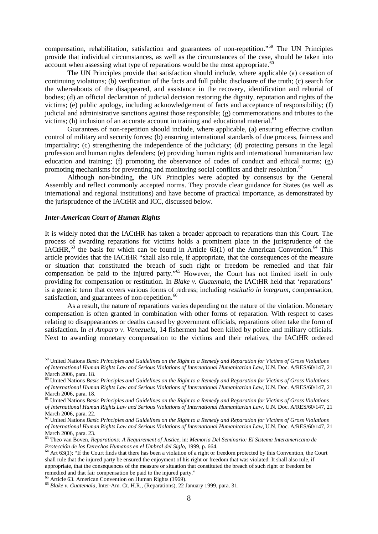compensation, rehabilitation, satisfaction and guarantees of non-repetition."[59](#page-8-0) The UN Principles provide that individual circumstances, as well as the circumstances of the case, should be taken into  $\alpha$  account when assessing what type of reparations would be the most appropriate.<sup>[60](#page-8-1)</sup>

The UN Principles provide that satisfaction should include, where applicable (a) cessation of continuing violations; (b) verification of the facts and full public disclosure of the truth; (c) search for the whereabouts of the disappeared, and assistance in the recovery, identification and reburial of bodies; (d) an official declaration of judicial decision restoring the dignity, reputation and rights of the victims; (e) public apology, including acknowledgement of facts and acceptance of responsibility; (f) judicial and administrative sanctions against those responsible; (g) commemorations and tributes to the victims; (h) inclusion of an accurate account in training and educational material. $61$ 

Guarantees of non-repetition should include, where applicable, (a) ensuring effective civilian control of military and security forces; (b) ensuring international standards of due process, fairness and impartiality; (c) strengthening the independence of the judiciary; (d) protecting persons in the legal profession and human rights defenders; (e) providing human rights and international humanitarian law education and training; (f) promoting the observance of codes of conduct and ethical norms; (g) promoting mechanisms for preventing and monitoring social conflicts and their resolution.<sup>[62](#page-8-3)</sup>

Although non-binding, the UN Principles were adopted by consensus by the General Assembly and reflect commonly accepted norms. They provide clear guidance for States (as well as international and regional institutions) and have become of practical importance, as demonstrated by the jurisprudence of the IACtHR and ICC, discussed below.

#### *Inter-American Court of Human Rights*

It is widely noted that the IACtHR has taken a broader approach to reparations than this Court. The process of awarding reparations for victims holds a prominent place in the jurisprudence of the IACtHR,  $^{63}$  $^{63}$  $^{63}$  the basis for which can be found in Article 63(1) of the American Convention.<sup>[64](#page-8-5)</sup> This article provides that the IACtHR "shall also rule, if appropriate, that the consequences of the measure or situation that constituted the breach of such right or freedom be remedied and that fair compensation be paid to the injured party."<sup>[65](#page-8-6)</sup> However, the Court has not limited itself in only providing for compensation or restitution. In *Blake v. Guatemala*, the IACtHR held that 'reparations' is a generic term that covers various forms of redress; including *restitutio in integrum*, compensation, satisfaction, and guarantees of non-repetition.<sup>[66](#page-8-7)</sup>

As a result, the nature of reparations varies depending on the nature of the violation. Monetary compensation is often granted in combination with other forms of reparation. With respect to cases relating to disappearances or deaths caused by government officials, reparations often take the form of satisfaction. In *el Amparo v. Venezuela*, 14 fishermen had been killed by police and military officials. Next to awarding monetary compensation to the victims and their relatives, the IACtHR ordered

<span id="page-8-6"></span>

<span id="page-8-0"></span> <sup>59</sup> United Nations *Basic Principles and Guidelines on the Right to a Remedy and Reparation for Victims of Gross Violations of International Human Rights Law and Serious Violations of International Humanitarian Law,* U.N. Doc. A/RES/60/147, 21 March 2006, para. 18.

<span id="page-8-1"></span><sup>60</sup> United Nations *Basic Principles and Guidelines on the Right to a Remedy and Reparation for Victims of Gross Violations of International Human Rights Law and Serious Violations of International Humanitarian Law,* U.N. Doc. A/RES/60/147, 21 March 2006, para. 18.

<span id="page-8-2"></span><sup>61</sup> United Nations *Basic Principles and Guidelines on the Right to a Remedy and Reparation for Victims of Gross Violations of International Human Rights Law and Serious Violations of International Humanitarian Law,* U.N. Doc. A/RES/60/147, 21

<span id="page-8-3"></span>March 2006, para. 22. <sup>62</sup> United Nations *Basic Principles and Guidelines on the Right to a Remedy and Reparation for Victims of Gross Violations of International Human Rights Law and Serious Violations of International Humanitarian Law,* U.N. Doc. A/RES/60/147, 21

<span id="page-8-4"></span>March 2006, para. 23. <sup>63</sup> Theo van Boven, *Reparations: A Requirement of Justice,* in: *Memoria Del Seminario: El Sistema Interamericano de* 

<span id="page-8-5"></span>*Protección de los Derechos Humanos en el Umbral del Siglo*, 1999, p. 664.<br><sup>64</sup> Art 63(1); "If the Court finds that there has been a violation of a right or freedom protected by this Convention, the Court shall rule that the injured party be ensured the enjoyment of his right or freedom that was violated. It shall also rule, if appropriate, that the consequences of the measure or situation that constituted the breach of such right or freedom be remedied and that fair compensation be paid to the injured party." <sup>65</sup> Article 63. American Convention on Human Rights (1969). <sup>66</sup> *Blake v. Guatemala*, Inter-Am. Ct. H.R., (Reparations), 22 January 1999, para. 31.

<span id="page-8-7"></span>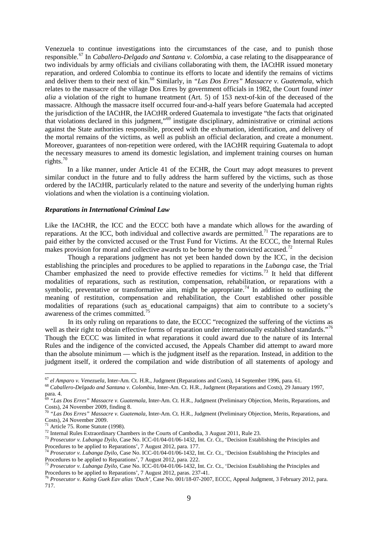Venezuela to continue investigations into the circumstances of the case, and to punish those responsible. [67](#page-9-0) In *Caballero-Delgado and Santana v. Colombia*, a case relating to the disappearance of two individuals by army officials and civilians collaborating with them, the IACtHR issued monetary reparation, and ordered Colombia to continue its efforts to locate and identify the remains of victims and deliver them to their next of kin.<sup>[68](#page-9-1)</sup> Similarly, in *"Las Dos Erres" Massacre v. Guatemala*, which relates to the massacre of the village Dos Erres by government officials in 1982, the Court found *inter alia* a violation of the right to humane treatment (Art. 5) of 153 next-of-kin of the deceased of the massacre. Although the massacre itself occurred four-and-a-half years before Guatemala had accepted the jurisdiction of the IACtHR, the IACtHR ordered Guatemala to investigate "the facts that originated that violations declared in this judgment,"[69](#page-9-2) instigate disciplinary, administrative or criminal actions against the State authorities responsible, proceed with the exhumation, identification, and delivery of the mortal remains of the victims, as well as publish an official declaration, and create a monument. Moreover, guarantees of non-repetition were ordered, with the IACtHR requiring Guatemala to adopt the necessary measures to amend its domestic legislation, and implement training courses on human rights.[70](#page-9-3)

In a like manner, under Article 41 of the ECHR, the Court may adopt measures to prevent similar conduct in the future and to fully address the harm suffered by the victims, such as those ordered by the IACtHR, particularly related to the nature and severity of the underlying human rights violations and when the violation is a continuing violation.

#### *Reparations in International Criminal Law*

Like the IACtHR, the ICC and the ECCC both have a mandate which allows for the awarding of reparations. At the ICC, both individual and collective awards are permitted.<sup>[71](#page-9-4)</sup> The reparations are to paid either by the convicted accused or the Trust Fund for Victims. At the ECCC, the Internal Rules makes provision for moral and collective awards to be borne by the convicted accused.<sup>[72](#page-9-5)</sup>

Though a reparations judgment has not yet been handed down by the ICC, in the decision establishing the principles and procedures to be applied to reparations in the *Lubanga* case, the Trial Chamber emphasized the need to provide effective remedies for victims.<sup>[73](#page-9-6)</sup> It held that different modalities of reparations, such as restitution, compensation, rehabilitation, or reparations with a symbolic, preventative or transformative aim, might be appropriate.<sup>[74](#page-9-7)</sup> In addition to outlining the meaning of restitution, compensation and rehabilitation, the Court established other possible modalities of reparations (such as educational campaigns) that aim to contribute to a society's awareness of the crimes committed.<sup>[75](#page-9-8)</sup>

In its only ruling on reparations to date, the ECCC "recognized the suffering of the victims as well as their right to obtain effective forms of reparation under internationally established standards."<sup>[76](#page-9-9)</sup> Though the ECCC was limited in what reparations it could award due to the nature of its Internal Rules and the indigence of the convicted accused, the Appeals Chamber did attempt to award more than the absolute minimum — which is the judgment itself as the reparation. Instead, in addition to the judgment itself, it ordered the compilation and wide distribution of all statements of apology and

<span id="page-9-1"></span><span id="page-9-0"></span> $^{67}$  el Amparo v. Venezuela, Inter-Am. Ct. H.R., Judgment (Reparations and Costs), 14 September 1996, para. 61.<br> $^{68}$  Caballero-Delgado and Santana v. Colombia, Inter-Am. Ct. H.R., Judgment (Reparations and Costs), 29 para. 4.

<sup>69</sup> *"Las Dos Erres" Massacre v. Guatemala,* Inter-Am. Ct. H.R., Judgment (Preliminary Objection, Merits, Reparations, and

<span id="page-9-3"></span><span id="page-9-2"></span>Costs), 24 November 2009, finding 8.<br><sup>70</sup> *"Las Dos Erres" Massacre v. Guatemala*, Inter-Am. Ct. H.R., Judgment (Preliminary Objection, Merits, Reparations, and Costs), 24 November 2009.<br><sup>71</sup> Article 75. Rome Statute (1998

<span id="page-9-5"></span><span id="page-9-4"></span><sup>&</sup>lt;sup>72</sup> Internal Rules Extraordinary Chambers in the Courts of Cambodia, 3 August 2011, Rule 23.<br><sup>73</sup> Prosecutor v. Lubanga Dyilo, Case No. ICC-01/04-01/06-1432, Int. Cr. Ct., 'Decision Establishing the Principles and

<span id="page-9-7"></span><span id="page-9-6"></span>Procedures to be applied to Reparations', 7 August 2012, para. 177.<br><sup>74</sup> *Prosecutor v. Lubanga Dyilo,* Case No. ICC-01/04-01/06-1432, Int. Cr. Ct., 'Decision Establishing the Principles and<br>Procedures to be applied to Rep

<span id="page-9-8"></span><sup>&</sup>lt;sup>75</sup> Prosecutor v. Lubanga Dyilo, Case No. ICC-01/04-01/06-1432, Int. Cr. Ct., 'Decision Establishing the Principles and Procedures to be applied to Reparations', 7 August 2012, paras. 237-41. <sup>76</sup> *Prosecutor v. Kaing Guek Eav alias 'Duch'*, Case No. 001/18-07-2007, ECCC, Appeal Judgment, 3 February 2012, para.

<span id="page-9-9"></span><sup>717.</sup>